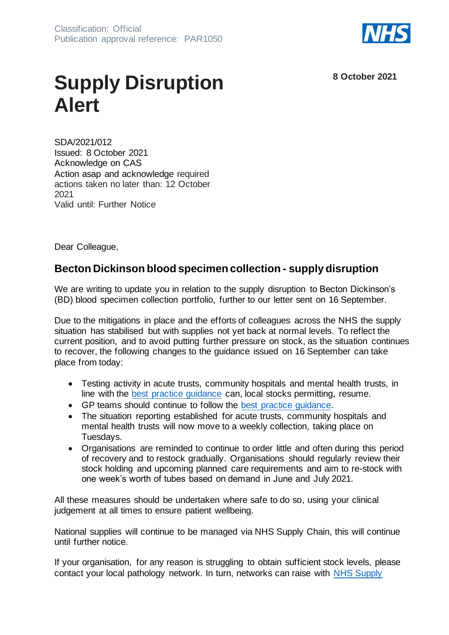

**8 October 2021**

## **Supply Disruption Alert**

SDA/2021/012 Issued: 8 October 2021 Acknowledge on CAS Action asap and acknowledge required actions taken no later than: 12 October 2021 Valid until: Further Notice

Dear Colleague,

## **Becton Dickinson blood specimen collection - supply disruption**

We are writing to update you in relation to the supply disruption to Becton Dickinson's (BD) blood specimen collection portfolio, further to our letter sent on 16 September.

Due to the mitigations in place and the efforts of colleagues across the NHS the supply situation has stabilised but with supplies not yet back at normal levels. To reflect the current position, and to avoid putting further pressure on stock, as the situation continues to recover, the following changes to the guidance issued on 16 September can take place from today:

- Testing activity in acute trusts, community hospitals and mental health trusts, in line with the [best practice guidance](https://www.england.nhs.uk/publication/optimising-blood-testing-in-primary-and-secondary-care/) can, local stocks permitting, resume.
- GP teams should continue to follow the [best practice guidance.](https://www.england.nhs.uk/publication/optimising-blood-testing-in-primary-and-secondary-care/)
- The situation reporting established for acute trusts, community hospitals and mental health trusts will now move to a weekly collection, taking place on Tuesdays.
- Organisations are reminded to continue to order little and often during this period of recovery and to restock gradually. Organisations should regularly review their stock holding and upcoming planned care requirements and aim to re-stock with one week's worth of tubes based on demand in June and July 2021.

All these measures should be undertaken where safe to do so, using your clinical judgement at all times to ensure patient wellbeing.

National supplies will continue to be managed via NHS Supply Chain, this will continue until further notice.

If your organisation, for any reason is struggling to obtain sufficient stock levels, please contact your local pathology network. In turn, networks can raise with [NHS Supply](https://www.supplychain.nhs.uk/customer-service/customer-service-teams/)